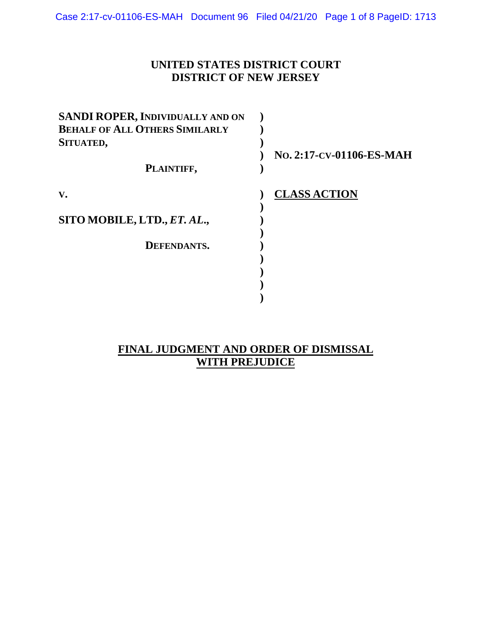## **UNITED STATES DISTRICT COURT DISTRICT OF NEW JERSEY**

| SANDI ROPER, INDIVIDUALLY AND ON      |                          |
|---------------------------------------|--------------------------|
| <b>BEHALF OF ALL OTHERS SIMILARLY</b> |                          |
| SITUATED,                             |                          |
|                                       | No. 2:17-CV-01106-ES-MAH |
| PLAINTIFF,                            |                          |
| V.                                    | <b>CLASS ACTION</b>      |
|                                       |                          |
| SITO MOBILE, LTD., ET. AL.,           |                          |
| <b>DEFENDANTS.</b>                    |                          |
|                                       |                          |
|                                       |                          |
|                                       |                          |
|                                       |                          |

## **FINAL JUDGMENT AND ORDER OF DISMISSAL WITH PREJUDICE**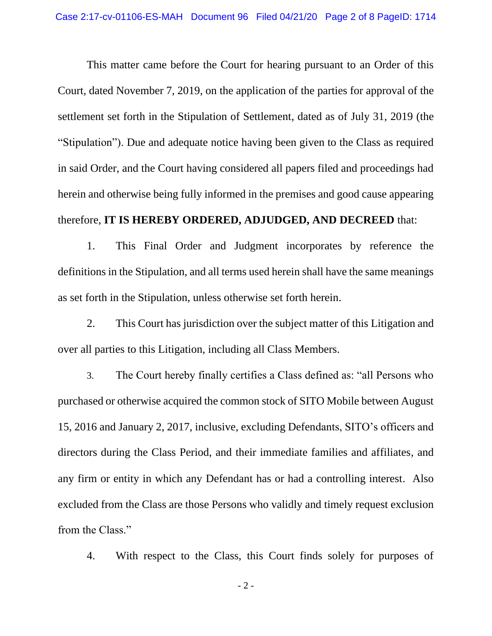This matter came before the Court for hearing pursuant to an Order of this Court, dated November 7, 2019, on the application of the parties for approval of the settlement set forth in the Stipulation of Settlement, dated as of July 31, 2019 (the "Stipulation"). Due and adequate notice having been given to the Class as required in said Order, and the Court having considered all papers filed and proceedings had herein and otherwise being fully informed in the premises and good cause appearing therefore, **IT IS HEREBY ORDERED, ADJUDGED, AND DECREED** that:

1. This Final Order and Judgment incorporates by reference the definitions in the Stipulation, and all terms used herein shall have the same meanings as set forth in the Stipulation, unless otherwise set forth herein.

2. This Court has jurisdiction over the subject matter of this Litigation and over all parties to this Litigation, including all Class Members.

3. The Court hereby finally certifies a Class defined as: "all Persons who purchased or otherwise acquired the common stock of SITO Mobile between August 15, 2016 and January 2, 2017, inclusive, excluding Defendants, SITO's officers and directors during the Class Period, and their immediate families and affiliates, and any firm or entity in which any Defendant has or had a controlling interest. Also excluded from the Class are those Persons who validly and timely request exclusion from the Class."

4. With respect to the Class, this Court finds solely for purposes of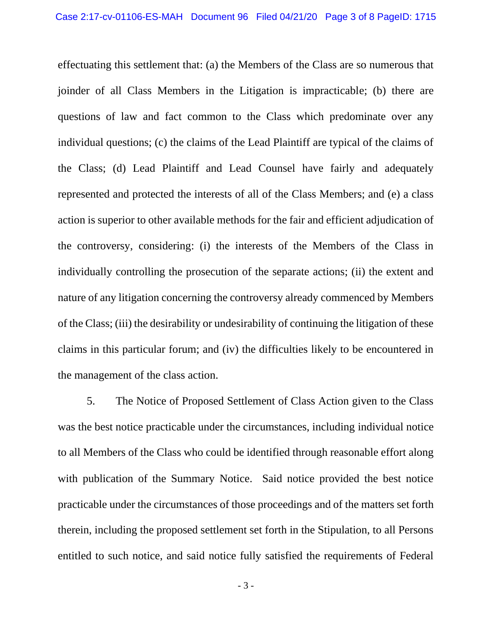effectuating this settlement that: (a) the Members of the Class are so numerous that joinder of all Class Members in the Litigation is impracticable; (b) there are questions of law and fact common to the Class which predominate over any individual questions; (c) the claims of the Lead Plaintiff are typical of the claims of the Class; (d) Lead Plaintiff and Lead Counsel have fairly and adequately represented and protected the interests of all of the Class Members; and (e) a class action is superior to other available methods for the fair and efficient adjudication of the controversy, considering: (i) the interests of the Members of the Class in individually controlling the prosecution of the separate actions; (ii) the extent and nature of any litigation concerning the controversy already commenced by Members of the Class; (iii) the desirability or undesirability of continuing the litigation of these claims in this particular forum; and (iv) the difficulties likely to be encountered in the management of the class action.

5. The Notice of Proposed Settlement of Class Action given to the Class was the best notice practicable under the circumstances, including individual notice to all Members of the Class who could be identified through reasonable effort along with publication of the Summary Notice. Said notice provided the best notice practicable under the circumstances of those proceedings and of the matters set forth therein, including the proposed settlement set forth in the Stipulation, to all Persons entitled to such notice, and said notice fully satisfied the requirements of Federal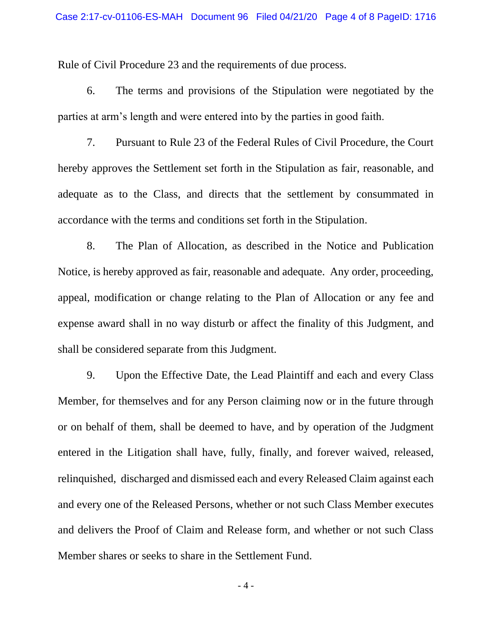Rule of Civil Procedure 23 and the requirements of due process.

6. The terms and provisions of the Stipulation were negotiated by the parties at arm's length and were entered into by the parties in good faith.

7. Pursuant to Rule 23 of the Federal Rules of Civil Procedure, the Court hereby approves the Settlement set forth in the Stipulation as fair, reasonable, and adequate as to the Class, and directs that the settlement by consummated in accordance with the terms and conditions set forth in the Stipulation.

8. The Plan of Allocation, as described in the Notice and Publication Notice, is hereby approved as fair, reasonable and adequate. Any order, proceeding, appeal, modification or change relating to the Plan of Allocation or any fee and expense award shall in no way disturb or affect the finality of this Judgment, and shall be considered separate from this Judgment.

9. Upon the Effective Date, the Lead Plaintiff and each and every Class Member, for themselves and for any Person claiming now or in the future through or on behalf of them, shall be deemed to have, and by operation of the Judgment entered in the Litigation shall have, fully, finally, and forever waived, released, relinquished, discharged and dismissed each and every Released Claim against each and every one of the Released Persons, whether or not such Class Member executes and delivers the Proof of Claim and Release form, and whether or not such Class Member shares or seeks to share in the Settlement Fund.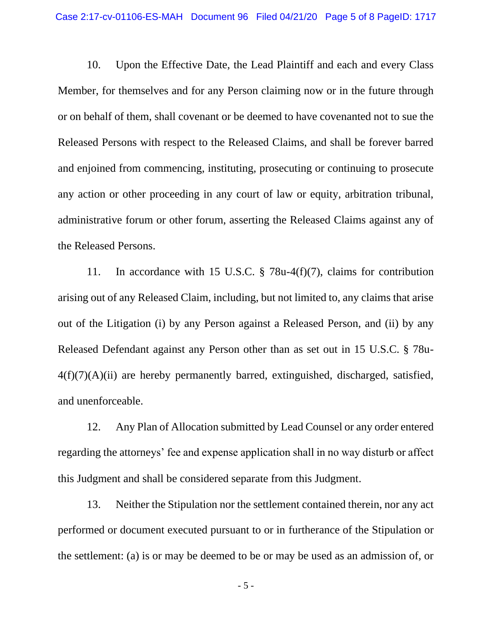10. Upon the Effective Date, the Lead Plaintiff and each and every Class Member, for themselves and for any Person claiming now or in the future through or on behalf of them, shall covenant or be deemed to have covenanted not to sue the Released Persons with respect to the Released Claims, and shall be forever barred and enjoined from commencing, instituting, prosecuting or continuing to prosecute any action or other proceeding in any court of law or equity, arbitration tribunal, administrative forum or other forum, asserting the Released Claims against any of the Released Persons.

11. In accordance with 15 U.S.C. § 78u-4(f)(7), claims for contribution arising out of any Released Claim, including, but not limited to, any claims that arise out of the Litigation (i) by any Person against a Released Person, and (ii) by any Released Defendant against any Person other than as set out in 15 U.S.C. § 78u- $4(f)(7)(A)(ii)$  are hereby permanently barred, extinguished, discharged, satisfied, and unenforceable.

12. Any Plan of Allocation submitted by Lead Counsel or any order entered regarding the attorneys' fee and expense application shall in no way disturb or affect this Judgment and shall be considered separate from this Judgment.

13. Neither the Stipulation nor the settlement contained therein, nor any act performed or document executed pursuant to or in furtherance of the Stipulation or the settlement: (a) is or may be deemed to be or may be used as an admission of, or

- 5 -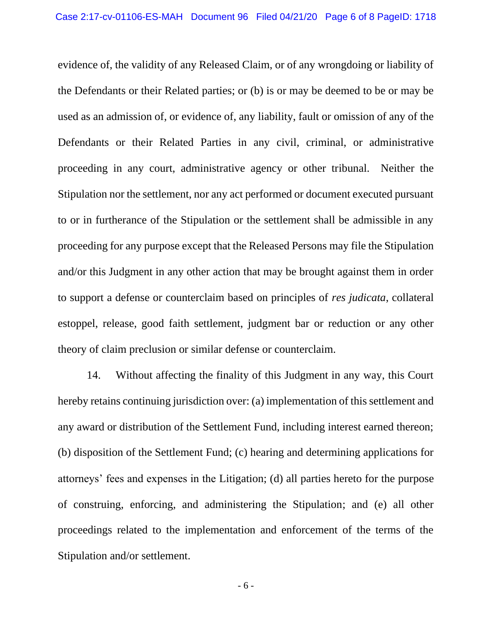evidence of, the validity of any Released Claim, or of any wrongdoing or liability of the Defendants or their Related parties; or (b) is or may be deemed to be or may be used as an admission of, or evidence of, any liability, fault or omission of any of the Defendants or their Related Parties in any civil, criminal, or administrative proceeding in any court, administrative agency or other tribunal. Neither the Stipulation nor the settlement, nor any act performed or document executed pursuant to or in furtherance of the Stipulation or the settlement shall be admissible in any proceeding for any purpose except that the Released Persons may file the Stipulation and/or this Judgment in any other action that may be brought against them in order to support a defense or counterclaim based on principles of *res judicata*, collateral estoppel, release, good faith settlement, judgment bar or reduction or any other theory of claim preclusion or similar defense or counterclaim.

14. Without affecting the finality of this Judgment in any way, this Court hereby retains continuing jurisdiction over: (a) implementation of this settlement and any award or distribution of the Settlement Fund, including interest earned thereon; (b) disposition of the Settlement Fund; (c) hearing and determining applications for attorneys' fees and expenses in the Litigation; (d) all parties hereto for the purpose of construing, enforcing, and administering the Stipulation; and (e) all other proceedings related to the implementation and enforcement of the terms of the Stipulation and/or settlement.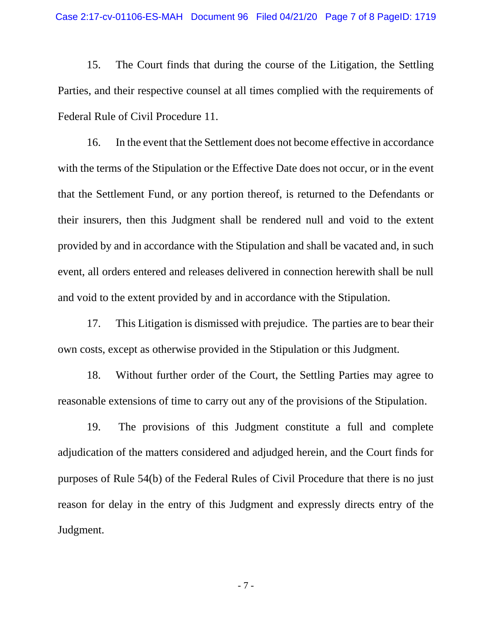15. The Court finds that during the course of the Litigation, the Settling Parties, and their respective counsel at all times complied with the requirements of Federal Rule of Civil Procedure 11.

16. In the event that the Settlement does not become effective in accordance with the terms of the Stipulation or the Effective Date does not occur, or in the event that the Settlement Fund, or any portion thereof, is returned to the Defendants or their insurers, then this Judgment shall be rendered null and void to the extent provided by and in accordance with the Stipulation and shall be vacated and, in such event, all orders entered and releases delivered in connection herewith shall be null and void to the extent provided by and in accordance with the Stipulation.

17. This Litigation is dismissed with prejudice. The parties are to bear their own costs, except as otherwise provided in the Stipulation or this Judgment.

18. Without further order of the Court, the Settling Parties may agree to reasonable extensions of time to carry out any of the provisions of the Stipulation.

19. The provisions of this Judgment constitute a full and complete adjudication of the matters considered and adjudged herein, and the Court finds for purposes of Rule 54(b) of the Federal Rules of Civil Procedure that there is no just reason for delay in the entry of this Judgment and expressly directs entry of the Judgment.

- 7 -